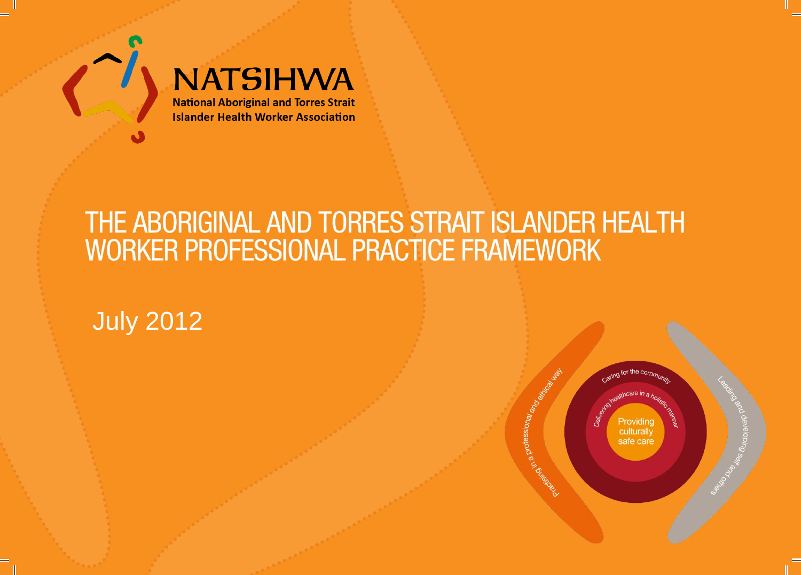

# **NATSIHWA**

**National Aboriginal and Torres Strait Islander Health Worker Association** 

# THE ABORIGINAL AND TORRES STRAIT ISLANDER HEALTH WORKER PROFESSIONAL PRACTICE FRAMEWORK

## July 2012

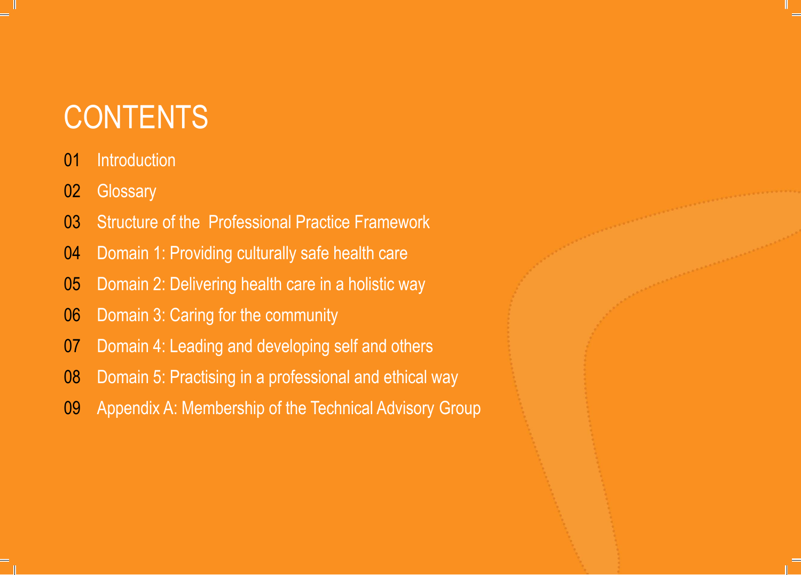# **CONTENTS**

### Introduction

- 02 Glossary
- Structure of the Professional Practice Framework
- Domain 1: Providing culturally safe health care
- Domain 2: Delivering health care in a holistic way
- Domain 3: Caring for the community
- Domain 4: Leading and developing self and others
- Domain 5: Practising in a professional and ethical way
- Appendix A: Membership of the Technical Advisory Group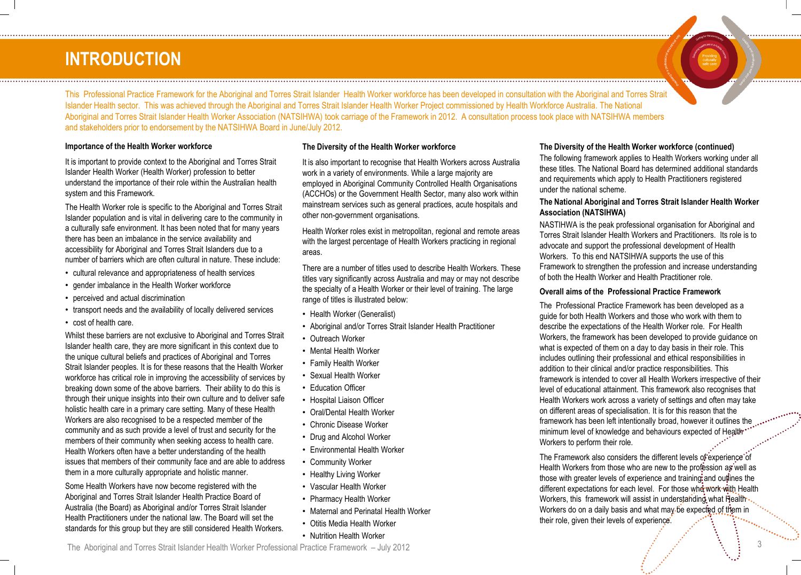### **INTRODUCTION**

This Professional Practice Framework for the Aboriginal and Torres Strait Islander Health Worker workforce has been developed in consultation with the Aboriginal and Torres Strait Islander Health sector. This was achieved through the Aboriginal and Torres Strait Islander Health Worker Project commissioned by Health Workforce Australia. The National Aboriginal and Torres Strait Islander Health Worker Association (NATSIHWA) took carriage of the Framework in 2012. A consultation process took place with NATSIHWA members and stakeholders prior to endorsement by the NATSIHWA Board in June/July 2012.

#### **Importance of the Health Worker workforce**

It is important to provide context to the Aboriginal and Torres Strait Islander Health Worker (Health Worker) profession to better understand the importance of their role within the Australian health system and this Framework.

The Health Worker role is specific to the Aboriginal and Torres Strait Islander population and is vital in delivering care to the community in a culturally safe environment. It has been noted that for many years there has been an imbalance in the service availability and accessibility for Aboriginal and Torres Strait Islanders due to a number of barriers which are often cultural in nature. These include:

- cultural relevance and appropriateness of health services
- gender imbalance in the Health Worker workforce
- perceived and actual discrimination
- transport needs and the availability of locally delivered services
- cost of health care.

Whilst these barriers are not exclusive to Aboriginal and Torres Strait Islander health care, they are more significant in this context due to the unique cultural beliefs and practices of Aboriginal and Torres Strait Islander peoples. It is for these reasons that the Health Worker workforce has critical role in improving the accessibility of services by breaking down some of the above barriers. Their ability to do this is through their unique insights into their own culture and to deliver safe holistic health care in a primary care setting. Many of these Health Workers are also recognised to be a respected member of the community and as such provide a level of trust and security for the members of their community when seeking access to health care. Health Workers often have a better understanding of the health issues that members of their community face and are able to address them in a more culturally appropriate and holistic manner.

Some Health Workers have now become registered with the Aboriginal and Torres Strait Islander Health Practice Board of Australia (the Board) as Aboriginal and/or Torres Strait Islander Health Practitioners under the national law. The Board will set the standards for this group but they are still considered Health Workers.

#### **The Diversity of the Health Worker workforce**

It is also important to recognise that Health Workers across Australia work in a variety of environments. While a large majority are employed in Aboriginal Community Controlled Health Organisations (ACCHOs) or the Government Health Sector, many also work within mainstream services such as general practices, acute hospitals and other non-government organisations.

Health Worker roles exist in metropolitan, regional and remote areas with the largest percentage of Health Workers practicing in regional areas.

There are a number of titles used to describe Health Workers. These titles vary significantly across Australia and may or may not describe the specialty of a Health Worker or their level of training. The large range of titles is illustrated below:

- Health Worker (Generalist)
- Aboriginal and/or Torres Strait Islander Health Practitioner
- Outreach Worker
- Mental Health Worker
- Family Health Worker
- Sexual Health Worker
- Education Officer
- Hospital Liaison Officer
- Oral/Dental Health Worker
- Chronic Disease Worker
- Drug and Alcohol Worker
- Environmental Health Worker
- Community Worker
- Healthy Living Worker
- Vascular Health Worker
- Pharmacy Health Worker
- Maternal and Perinatal Health Worker
- Otitis Media Health Worker
- Nutrition Health Worker

#### advocate and support the professional development of Health Workers. To this end NATSIHWA supports the use of this

under the national scheme.

**Association (NATSIHWA)**

Framework to strengthen the profession and increase understanding of both the Health Worker and Health Practitioner role.

**The National Aboriginal and Torres Strait Islander Health Worker** 

NASTIHWA is the peak professional organisation for Aboriginal and Torres Strait Islander Health Workers and Practitioners. Its role is to

**The Diversity of the Health Worker workforce (continued)** The following framework applies to Health Workers working under all these titles. The National Board has determined additional standards and requirements which apply to Health Practitioners registered

#### **Overall aims of the Professional Practice Framework**

The Professional Practice Framework has been developed as a guide for both Health Workers and those who work with them to describe the expectations of the Health Worker role. For Health Workers, the framework has been developed to provide guidance on what is expected of them on a day to day basis in their role. This includes outlining their professional and ethical responsibilities in addition to their clinical and/or practice responsibilities. This framework is intended to cover all Health Workers irrespective of their level of educational attainment. This framework also recognises that Health Workers work across a variety of settings and often may take on different areas of specialisation. It is for this reason that the framework has been left intentionally broad, however it outlines the minimum level of knowledge and behaviours expected of Health\* Workers to perform their role.

The Framework also considers the different levels of experience of Health Workers from those who are new to the profession as well as those with greater levels of experience and training: and outlines the different expectations for each level. For those who work with Health Workers, this framework will assist in understanding what Health . Workers do on a daily basis and what may be expected of them in their role, given their levels of experience.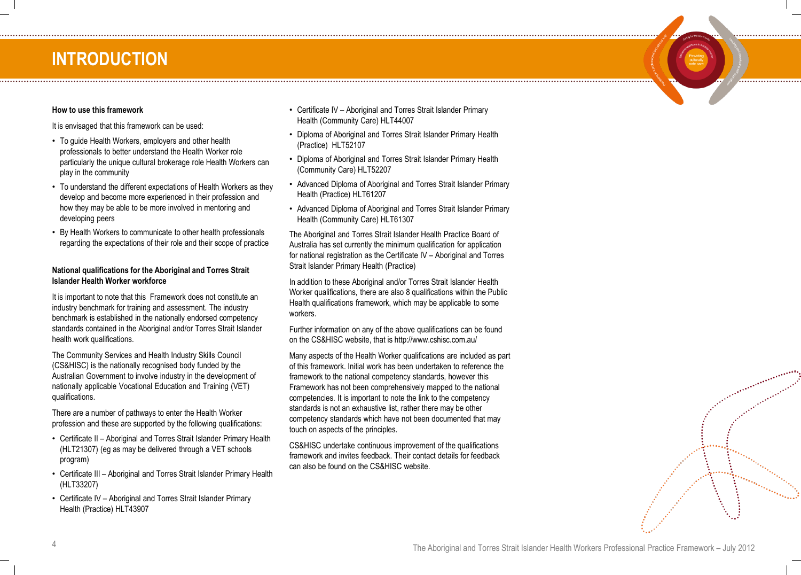### **INTRODUCTION**

#### **How to use this framework**

It is envisaged that this framework can be used:

- To guide Health Workers, employers and other health professionals to better understand the Health Worker role particularly the unique cultural brokerage role Health Workers can play in the community
- To understand the different expectations of Health Workers as they develop and become more experienced in their profession and how they may be able to be more involved in mentoring and developing peers
- By Health Workers to communicate to other health professionals regarding the expectations of their role and their scope of practice

#### **National qualifications for the Aboriginal and Torres Strait Islander Health Worker workforce**

It is important to note that this Framework does not constitute an industry benchmark for training and assessment. The industry benchmark is established in the nationally endorsed competency standards contained in the Aboriginal and/or Torres Strait Islander health work qualifications.

The Community Services and Health Industry Skills Council (CS&HISC) is the nationally recognised body funded by the Australian Government to involve industry in the development of nationally applicable Vocational Education and Training (VET) qualifications.

There are a number of pathways to enter the Health Worker profession and these are supported by the following qualifications:

- Certificate II Aboriginal and Torres Strait Islander Primary Health (HLT21307) (eg as may be delivered through a VET schools program)
- Certificate III Aboriginal and Torres Strait Islander Primary Health (HLT33207)
- Certificate IV Aboriginal and Torres Strait Islander Primary Health (Practice) HLT43907

• Certificate IV – Aboriginal and Torres Strait Islander Primary Health (Community Care) HLT44007

- Diploma of Aboriginal and Torres Strait Islander Primary Health (Practice) HLT52107
- Diploma of Aboriginal and Torres Strait Islander Primary Health (Community Care) HLT52207
- Advanced Diploma of Aboriginal and Torres Strait Islander Primary Health (Practice) HLT61207
- Advanced Diploma of Aboriginal and Torres Strait Islander Primary Health (Community Care) HLT61307

The Aboriginal and Torres Strait Islander Health Practice Board of Australia has set currently the minimum qualification for application for national registration as the Certificate IV – Aboriginal and Torres Strait Islander Primary Health (Practice)

In addition to these Aboriginal and/or Torres Strait Islander Health Worker qualifications, there are also 8 qualifications within the Public Health qualifications framework, which may be applicable to some workers.

Further information on any of the above qualifications can be found on the CS&HISC website, that is http://www.cshisc.com.au/

Many aspects of the Health Worker qualifications are included as part of this framework. Initial work has been undertaken to reference the framework to the national competency standards, however this Framework has not been comprehensively mapped to the national competencies. It is important to note the link to the competency standards is not an exhaustive list, rather there may be other competency standards which have not been documented that may touch on aspects of the principles.

CS&HISC undertake continuous improvement of the qualifications framework and invites feedback. Their contact details for feedback can also be found on the CS&HISC website.

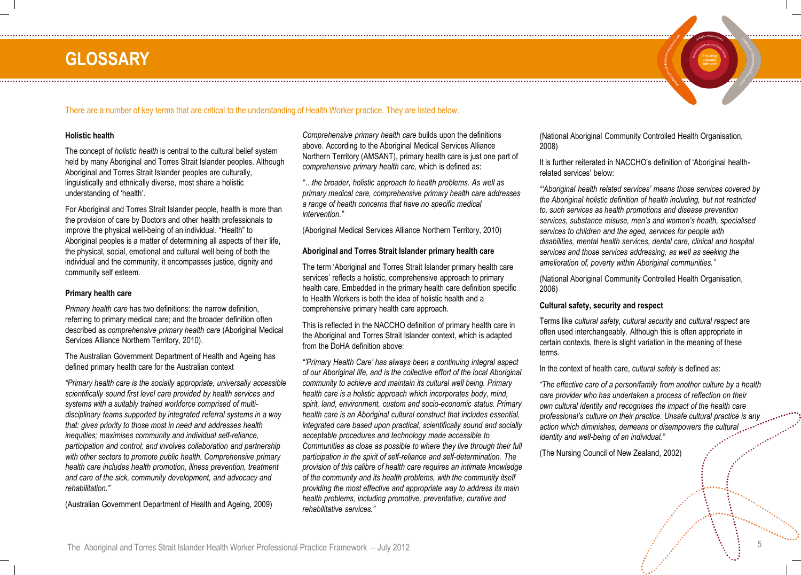### **GLOSSARY**



#### **Holistic health**

The concept of *holistic health* is central to the cultural belief system held by many Aboriginal and Torres Strait Islander peoples. Although Aboriginal and Torres Strait Islander peoples are culturally, linguistically and ethnically diverse, most share a holistic understanding of 'health'.

For Aboriginal and Torres Strait Islander people, health is more than the provision of care by Doctors and other health professionals to improve the physical well-being of an individual. "Health" to Aboriginal peoples is a matter of determining all aspects of their life, the physical, social, emotional and cultural well being of both the individual and the community, it encompasses justice, dignity and community self esteem.

#### **Primary health care**

*Primary health care* has two definitions: the narrow definition, referring to primary medical care; and the broader definition often described as *comprehensive primary health care* (Aboriginal Medical Services Alliance Northern Territory, 2010).

The Australian Government Department of Health and Ageing has defined primary health care for the Australian context

*"Primary health care is the socially appropriate, universally accessible scientifically sound first level care provided by health services and systems with a suitably trained workforce comprised of multidisciplinary teams supported by integrated referral systems in a way that: gives priority to those most in need and addresses health inequities; maximises community and individual self-reliance, participation and control; and involves collaboration and partnership with other sectors to promote public health. Comprehensive primary health care includes health promotion, illness prevention, treatment and care of the sick, community development, and advocacy and rehabilitation."* 

(Australian Government Department of Health and Ageing, 2009)

*Comprehensive primary health care* builds upon the definitions above. According to the Aboriginal Medical Services Alliance Northern Territory (AMSANT), primary health care is just one part of *comprehensive primary health care,* which is defined as:

*"…the broader, holistic approach to health problems. As well as primary medical care, comprehensive primary health care addresses a range of health concerns that have no specific medical intervention."*

(Aboriginal Medical Services Alliance Northern Territory, 2010)

#### **Aboriginal and Torres Strait Islander primary health care**

The term 'Aboriginal and Torres Strait Islander primary health care services' reflects a holistic, comprehensive approach to primary health care. Embedded in the primary health care definition specific to Health Workers is both the idea of holistic health and a comprehensive primary health care approach.

This is reflected in the NACCHO definition of primary health care in the Aboriginal and Torres Strait Islander context, which is adapted from the DoHA definition above:

*"'Primary Health Care' has always been a continuing integral aspect of our Aboriginal life, and is the collective effort of the local Aboriginal community to achieve and maintain its cultural well being. Primary health care is a holistic approach which incorporates body, mind, spirit, land, environment, custom and socio-economic status. Primary health care is an Aboriginal cultural construct that includes essential, integrated care based upon practical, scientifically sound and socially acceptable procedures and technology made accessible to Communities as close as possible to where they live through their full participation in the spirit of self-reliance and self-determination. The provision of this calibre of health care requires an intimate knowledge of the community and its health problems, with the community itself providing the most effective and appropriate way to address its main health problems, including promotive, preventative, curative and rehabilitative services."*

(National Aboriginal Community Controlled Health Organisation, 2008)

It is further reiterated in NACCHO's definition of 'Aboriginal healthrelated services' below:

*"'Aboriginal health related services' means those services covered by the Aboriginal holistic definition of health including, but not restricted to, such services as health promotions and disease prevention services, substance misuse, men's and women's health, specialised services to children and the aged, services for people with disabilities, mental health services, dental care, clinical and hospital services and those services addressing, as well as seeking the amelioration of, poverty within Aboriginal communities."*

(National Aboriginal Community Controlled Health Organisation, 2006)

#### **Cultural safety, security and respect**

Terms like *cultural safety, cultural security* and *cultural respect* are often used interchangeably. Although this is often appropriate in certain contexts, there is slight variation in the meaning of these terms.

In the context of health care, *cultural safety* is defined as:

*"The effective care of a person/family from another culture by a health care provider who has undertaken a process of reflection on their own cultural identity and recognises the impact of the health care professional's culture on their practice. Unsafe cultural practice is any*  $\cdots$ *action which diminishes, demeans or disempowers the cultural identity and well-being of an individual."*

(The Nursing Council of New Zealand, 2002)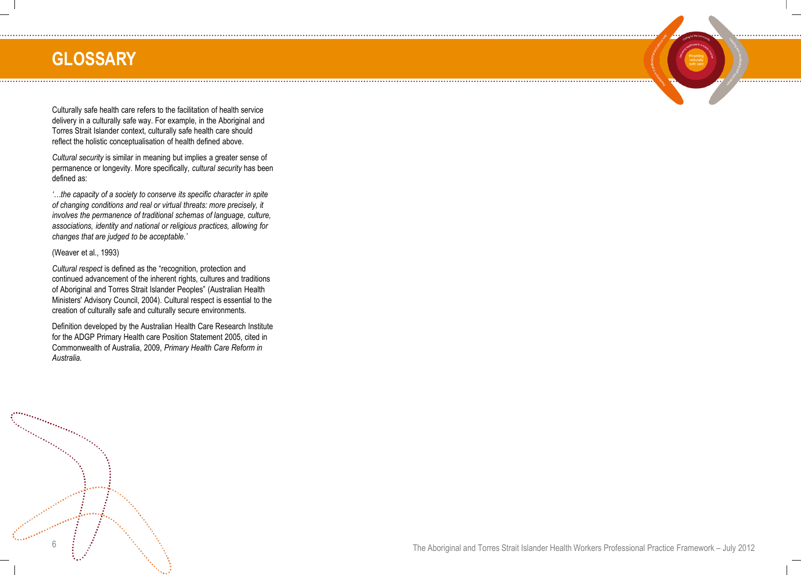### **GLOSSARY**

Culturally safe health care refers to the facilitation of health service delivery in a culturally safe way. For example, in the Aboriginal and Torres Strait Islander context, culturally safe health care should reflect the holistic conceptualisation of health defined above.

*Cultural security* is similar in meaning but implies a greater sense of permanence or longevity. More specifically, *cultural security* has been defined as:

*'…the capacity of a society to conserve its specific character in spite of changing conditions and real or virtual threats: more precisely, it involves the permanence of traditional schemas of language, culture, associations, identity and national or religious practices, allowing for changes that are judged to be acceptable.'*

#### (Weaver et al., 1993)

*Cultural respect* is defined as the "recognition, protection and continued advancement of the inherent rights, cultures and traditions of Aboriginal and Torres Strait Islander Peoples" (Australian Health Ministers' Advisory Council, 2004). Cultural respect is essential to the creation of culturally safe and culturally secure environments.

Definition developed by the Australian Health Care Research Institute for the ADGP Primary Health care Position Statement 2005, cited in Commonwealth of Australia, 2009, *Primary Health Care Reform in Australia.*



. . . . . . . . .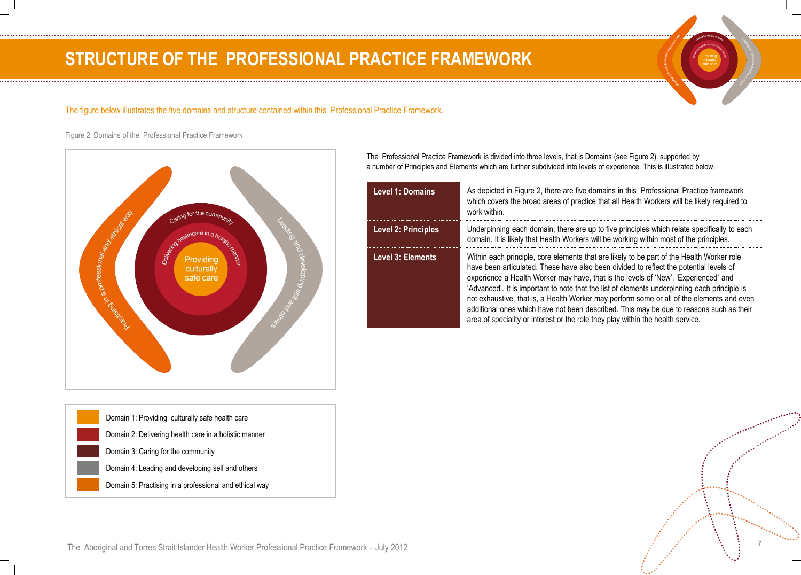### **STRUCTURE OF THE PROFESSIONAL PRACTICE FRAMEWORK**

#### The figure below illustrates the five domains and structure contained within this Professional Practice Framework.

Figure 2: Domains of the Professional Practice Framework



| Domain 1: Providing culturally safe health care        |
|--------------------------------------------------------|
| Domain 2: Delivering health care in a holistic manner  |
| Domain 3: Caring for the community                     |
| Domain 4: Leading and developing self and others       |
| Domain 5: Practising in a professional and ethical way |
|                                                        |

The Professional Practice Framework is divided into three levels, that is Domains (see Figure 2), supported by a number of Principles and Elements which are further subdivided into levels of experience. This is illustrated below.

| Level 1: Domains           | As depicted in Figure 2, there are five domains in this Professional Practice framework<br>which covers the broad areas of practice that all Health Workers will be likely required to<br>work within.                                                                                                                                                                                                                                                                                                                                                                                                                                                |
|----------------------------|-------------------------------------------------------------------------------------------------------------------------------------------------------------------------------------------------------------------------------------------------------------------------------------------------------------------------------------------------------------------------------------------------------------------------------------------------------------------------------------------------------------------------------------------------------------------------------------------------------------------------------------------------------|
| <b>Level 2: Principles</b> | Underpinning each domain, there are up to five principles which relate specifically to each<br>domain. It is likely that Health Workers will be working within most of the principles.                                                                                                                                                                                                                                                                                                                                                                                                                                                                |
| Level 3: Elements          | Within each principle, core elements that are likely to be part of the Health Worker role<br>have been articulated. These have also been divided to reflect the potential levels of<br>experience a Health Worker may have, that is the levels of 'New', 'Experienced' and<br>'Advanced'. It is important to note that the list of elements underpinning each principle is<br>not exhaustive, that is, a Health Worker may perform some or all of the elements and even<br>additional ones which have not been described. This may be due to reasons such as their<br>area of speciality or interest or the role they play within the health service. |

The Aboriginal and Torres Strait Islander Health Worker Professional Practice Framework – July 2012 7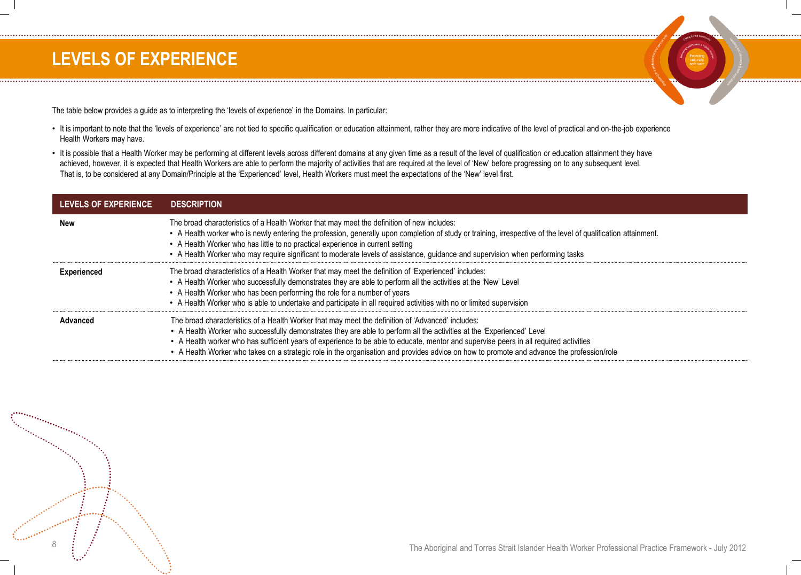### **LEVELS OF EXPERIENCE**

The table below provides a guide as to interpreting the 'levels of experience' in the Domains. In particular:

- It is important to note that the 'levels of experience' are not tied to specific qualification or education attainment, rather they are more indicative of the level of practical and on-the-job experience Health Workers may have.
- It is possible that a Health Worker may be performing at different levels across different domains at any given time as a result of the level of qualification or education attainment they have achieved, however, it is expected that Health Workers are able to perform the majority of activities that are required at the level of 'New' before progressing on to any subsequent level. That is, to be considered at any Domain/Principle at the 'Experienced' level, Health Workers must meet the expectations of the 'New' level first.

| <b>LEVELS OF EXPERIENCE</b> | <b>DESCRIPTION</b>                                                                                                                                                                                                                                                                                                                                                                                                                                                                                                |
|-----------------------------|-------------------------------------------------------------------------------------------------------------------------------------------------------------------------------------------------------------------------------------------------------------------------------------------------------------------------------------------------------------------------------------------------------------------------------------------------------------------------------------------------------------------|
| New                         | The broad characteristics of a Health Worker that may meet the definition of new includes:<br>• A Health worker who is newly entering the profession, generally upon completion of study or training, irrespective of the level of qualification attainment.<br>• A Health Worker who has little to no practical experience in current setting<br>• A Health Worker who may require significant to moderate levels of assistance, guidance and supervision when performing tasks                                  |
| Experienced                 | The broad characteristics of a Health Worker that may meet the definition of 'Experienced' includes:<br>• A Health Worker who successfully demonstrates they are able to perform all the activities at the 'New' Level<br>• A Health Worker who has been performing the role for a number of years<br>• A Health Worker who is able to undertake and participate in all required activities with no or limited supervision                                                                                        |
| Advanced                    | The broad characteristics of a Health Worker that may meet the definition of 'Advanced' includes:<br>• A Health Worker who successfully demonstrates they are able to perform all the activities at the 'Experienced' Level<br>• A Health worker who has sufficient years of experience to be able to educate, mentor and supervise peers in all required activities<br>• A Health Worker who takes on a strategic role in the organisation and provides advice on how to promote and advance the profession/role |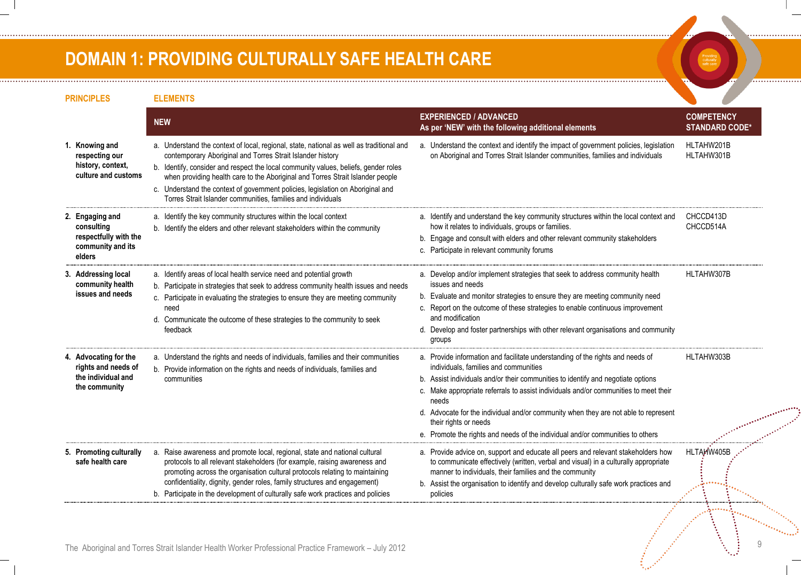### **DOMAIN 1: PROVIDING CULTURALLY SAFE HEALTH CARE**

. . . . . . . . . . . . . . . . . . .

Providing<br>culturally<br>safe care 

................

. . . . . . . . . . . . . . . . .

| <b>PRINCIPLES</b>                                                                     | <b>ELEMENTS</b>                                                                                                                                                                                                                                                                                                                                                                                                                                                                    |                                                                                                                                                                                                                                                                                                                                                                                                                                                                                                                |                                            |
|---------------------------------------------------------------------------------------|------------------------------------------------------------------------------------------------------------------------------------------------------------------------------------------------------------------------------------------------------------------------------------------------------------------------------------------------------------------------------------------------------------------------------------------------------------------------------------|----------------------------------------------------------------------------------------------------------------------------------------------------------------------------------------------------------------------------------------------------------------------------------------------------------------------------------------------------------------------------------------------------------------------------------------------------------------------------------------------------------------|--------------------------------------------|
|                                                                                       | <b>NEW</b>                                                                                                                                                                                                                                                                                                                                                                                                                                                                         | <b>EXPERIENCED / ADVANCED</b><br>As per 'NEW' with the following additional elements                                                                                                                                                                                                                                                                                                                                                                                                                           | <b>COMPETENCY</b><br><b>STANDARD CODE*</b> |
| 1. Knowing and<br>respecting our<br>history, context,<br>culture and customs          | a. Understand the context of local, regional, state, national as well as traditional and<br>contemporary Aboriginal and Torres Strait Islander history<br>b. Identify, consider and respect the local community values, beliefs, gender roles<br>when providing health care to the Aboriginal and Torres Strait Islander people<br>c. Understand the context of government policies, legislation on Aboriginal and<br>Torres Strait Islander communities, families and individuals | a. Understand the context and identify the impact of government policies, legislation<br>on Aboriginal and Torres Strait Islander communities, families and individuals                                                                                                                                                                                                                                                                                                                                        | HLTAHW201B<br>HLTAHW301B                   |
| 2. Engaging and<br>consulting<br>respectfully with the<br>community and its<br>elders | a. Identify the key community structures within the local context<br>b. Identify the elders and other relevant stakeholders within the community                                                                                                                                                                                                                                                                                                                                   | a. Identify and understand the key community structures within the local context and<br>how it relates to individuals, groups or families.<br>b. Engage and consult with elders and other relevant community stakeholders<br>c. Participate in relevant community forums                                                                                                                                                                                                                                       | CHCCD413D<br>CHCCD514A                     |
| 3. Addressing local<br>community health<br>issues and needs                           | a. Identify areas of local health service need and potential growth<br>b. Participate in strategies that seek to address community health issues and needs<br>c. Participate in evaluating the strategies to ensure they are meeting community<br>need<br>d. Communicate the outcome of these strategies to the community to seek<br>feedback                                                                                                                                      | a. Develop and/or implement strategies that seek to address community health<br>issues and needs<br>b. Evaluate and monitor strategies to ensure they are meeting community need<br>c. Report on the outcome of these strategies to enable continuous improvement<br>and modification<br>d. Develop and foster partnerships with other relevant organisations and community<br>groups                                                                                                                          | HLTAHW307B                                 |
| 4. Advocating for the<br>rights and needs of<br>the individual and<br>the community   | a. Understand the rights and needs of individuals, families and their communities<br>b. Provide information on the rights and needs of individuals, families and<br>communities                                                                                                                                                                                                                                                                                                    | a. Provide information and facilitate understanding of the rights and needs of<br>individuals, families and communities<br>b. Assist individuals and/or their communities to identify and negotiate options<br>c. Make appropriate referrals to assist individuals and/or communities to meet their<br>needs<br>d. Advocate for the individual and/or community when they are not able to represent<br>their rights or needs<br>e. Promote the rights and needs of the individual and/or communities to others | HLTAHW303B                                 |
| 5. Promoting culturally<br>safe health care                                           | a. Raise awareness and promote local, regional, state and national cultural<br>protocols to all relevant stakeholders (for example, raising awareness and<br>promoting across the organisation cultural protocols relating to maintaining<br>confidentiality, dignity, gender roles, family structures and engagement)<br>b. Participate in the development of culturally safe work practices and policies                                                                         | a. Provide advice on, support and educate all peers and relevant stakeholders how<br>to communicate effectively (written, verbal and visual) in a culturally appropriate<br>manner to individuals, their families and the community<br>b. Assist the organisation to identify and develop culturally safe work practices and<br>policies                                                                                                                                                                       | HLTAHW405B                                 |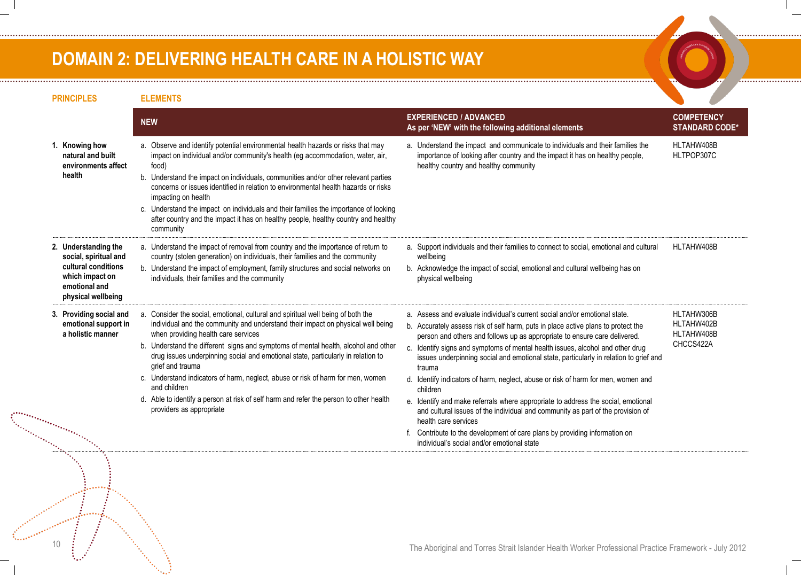### **DOMAIN 2: DELIVERING HEALTH CARE IN A HOLISTIC WAY**

| <b>PRINCIPLES</b>                                                                                                              | <b>ELEMENTS</b>                                                                                                                                                                                                                                                                                                                                                                                                                                                                                                                                                                                                                   |                                                                                                                                                                                                                                                                                                                                                                                                                                                                                                                                                                                                                                                                                                                                                                                                                                                                |                                                     |
|--------------------------------------------------------------------------------------------------------------------------------|-----------------------------------------------------------------------------------------------------------------------------------------------------------------------------------------------------------------------------------------------------------------------------------------------------------------------------------------------------------------------------------------------------------------------------------------------------------------------------------------------------------------------------------------------------------------------------------------------------------------------------------|----------------------------------------------------------------------------------------------------------------------------------------------------------------------------------------------------------------------------------------------------------------------------------------------------------------------------------------------------------------------------------------------------------------------------------------------------------------------------------------------------------------------------------------------------------------------------------------------------------------------------------------------------------------------------------------------------------------------------------------------------------------------------------------------------------------------------------------------------------------|-----------------------------------------------------|
|                                                                                                                                | <b>NEW</b>                                                                                                                                                                                                                                                                                                                                                                                                                                                                                                                                                                                                                        | <b>EXPERIENCED / ADVANCED</b><br>As per 'NEW' with the following additional elements                                                                                                                                                                                                                                                                                                                                                                                                                                                                                                                                                                                                                                                                                                                                                                           | <b>COMPETENCY</b><br><b>STANDARD CODE*</b>          |
| 1. Knowing how<br>natural and built<br>environments affect<br>health                                                           | a. Observe and identify potential environmental health hazards or risks that may<br>impact on individual and/or community's health (eg accommodation, water, air,<br>food)<br>b. Understand the impact on individuals, communities and/or other relevant parties<br>concerns or issues identified in relation to environmental health hazards or risks<br>impacting on health<br>c. Understand the impact on individuals and their families the importance of looking<br>after country and the impact it has on healthy people, healthy country and healthy<br>community                                                          | a. Understand the impact and communicate to individuals and their families the<br>importance of looking after country and the impact it has on healthy people,<br>healthy country and healthy community                                                                                                                                                                                                                                                                                                                                                                                                                                                                                                                                                                                                                                                        | HLTAHW408B<br>HLTPOP307C                            |
| 2. Understanding the<br>social, spiritual and<br>cultural conditions<br>which impact on<br>emotional and<br>physical wellbeing | a. Understand the impact of removal from country and the importance of return to<br>country (stolen generation) on individuals, their families and the community<br>b. Understand the impact of employment, family structures and social networks on<br>individuals, their families and the community                                                                                                                                                                                                                                                                                                                             | a. Support individuals and their families to connect to social, emotional and cultural<br>wellbeing<br>b. Acknowledge the impact of social, emotional and cultural wellbeing has on<br>physical wellbeing                                                                                                                                                                                                                                                                                                                                                                                                                                                                                                                                                                                                                                                      | HLTAHW408B                                          |
| 3. Providing social and<br>emotional support in<br>a holistic manner                                                           | a. Consider the social, emotional, cultural and spiritual well being of both the<br>individual and the community and understand their impact on physical well being<br>when providing health care services<br>b. Understand the different signs and symptoms of mental health, alcohol and other<br>drug issues underpinning social and emotional state, particularly in relation to<br>grief and trauma<br>c. Understand indicators of harm, neglect, abuse or risk of harm for men, women<br>and children<br>d. Able to identify a person at risk of self harm and refer the person to other health<br>providers as appropriate | a. Assess and evaluate individual's current social and/or emotional state.<br>b. Accurately assess risk of self harm, puts in place active plans to protect the<br>person and others and follows up as appropriate to ensure care delivered.<br>c. Identify signs and symptoms of mental health issues, alcohol and other drug<br>issues underpinning social and emotional state, particularly in relation to grief and<br>trauma<br>d. Identify indicators of harm, neglect, abuse or risk of harm for men, women and<br>children<br>e. Identify and make referrals where appropriate to address the social, emotional<br>and cultural issues of the individual and community as part of the provision of<br>health care services<br>f. Contribute to the development of care plans by providing information on<br>individual's social and/or emotional state | HLTAHW306B<br>HLTAHW402B<br>HLTAHW408B<br>CHCCS422A |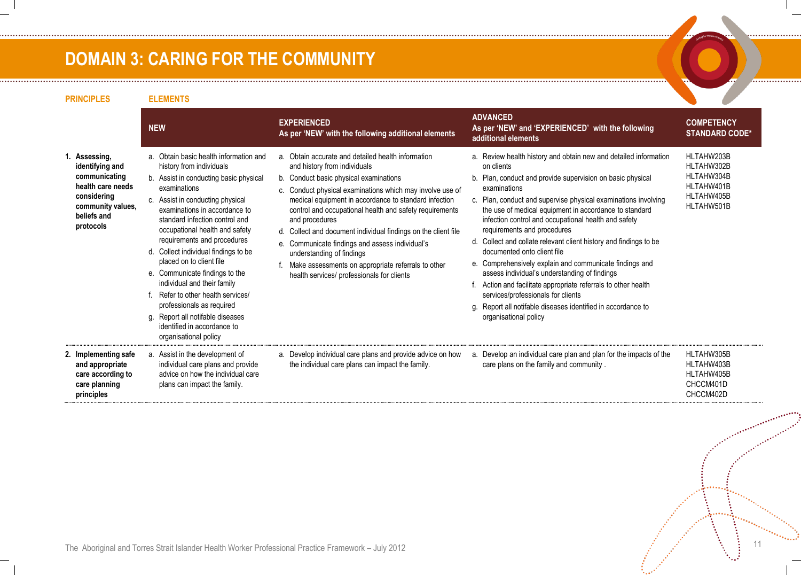### **DOMAIN 3: CARING FOR THE COMMUNITY**

| <b>PRINCIPLES</b>                                                                                                                      | <b>ELEMENTS</b>                                                                                                                                                                                                                                                                                                                                                                                                                                                                                                                                                                                       |                                                                                                                                                                                                                                                                                                                                                                                                                                                                                                                                                                                       |                                                                                                                                                                                                                                                                                                                                                                                                                                                                                                                                                                                                                                                                                                                                                                                                  |                                                                                  |
|----------------------------------------------------------------------------------------------------------------------------------------|-------------------------------------------------------------------------------------------------------------------------------------------------------------------------------------------------------------------------------------------------------------------------------------------------------------------------------------------------------------------------------------------------------------------------------------------------------------------------------------------------------------------------------------------------------------------------------------------------------|---------------------------------------------------------------------------------------------------------------------------------------------------------------------------------------------------------------------------------------------------------------------------------------------------------------------------------------------------------------------------------------------------------------------------------------------------------------------------------------------------------------------------------------------------------------------------------------|--------------------------------------------------------------------------------------------------------------------------------------------------------------------------------------------------------------------------------------------------------------------------------------------------------------------------------------------------------------------------------------------------------------------------------------------------------------------------------------------------------------------------------------------------------------------------------------------------------------------------------------------------------------------------------------------------------------------------------------------------------------------------------------------------|----------------------------------------------------------------------------------|
|                                                                                                                                        | <b>NEW</b>                                                                                                                                                                                                                                                                                                                                                                                                                                                                                                                                                                                            | <b>EXPERIENCED</b><br>As per 'NEW' with the following additional elements                                                                                                                                                                                                                                                                                                                                                                                                                                                                                                             | <b>ADVANCED</b><br>As per 'NEW' and 'EXPERIENCED' with the following<br>additional elements                                                                                                                                                                                                                                                                                                                                                                                                                                                                                                                                                                                                                                                                                                      | <b>COMPETENCY</b><br><b>STANDARD CODE*</b>                                       |
| 1. Assessing,<br>identifying and<br>communicating<br>health care needs<br>considering<br>community values,<br>beliefs and<br>protocols | a. Obtain basic health information and<br>history from individuals<br>b. Assist in conducting basic physical<br>examinations<br>c. Assist in conducting physical<br>examinations in accordance to<br>standard infection control and<br>occupational health and safety<br>requirements and procedures<br>d. Collect individual findings to be<br>placed on to client file<br>e. Communicate findings to the<br>individual and their family<br>Refer to other health services/<br>professionals as required<br>g. Report all notifable diseases<br>identified in accordance to<br>organisational policy | a. Obtain accurate and detailed health information<br>and history from individuals<br>b. Conduct basic physical examinations<br>c. Conduct physical examinations which may involve use of<br>medical equipment in accordance to standard infection<br>control and occupational health and safety requirements<br>and procedures<br>d. Collect and document individual findings on the client file<br>e. Communicate findings and assess individual's<br>understanding of findings<br>Make assessments on appropriate referrals to other<br>health services/ professionals for clients | a. Review health history and obtain new and detailed information<br>on clients<br>b. Plan, conduct and provide supervision on basic physical<br>examinations<br>c. Plan, conduct and supervise physical examinations involving<br>the use of medical equipment in accordance to standard<br>infection control and occupational health and safety<br>requirements and procedures<br>d. Collect and collate relevant client history and findings to be<br>documented onto client file<br>e. Comprehensively explain and communicate findings and<br>assess individual's understanding of findings<br>f. Action and facilitate appropriate referrals to other health<br>services/professionals for clients<br>g. Report all notifable diseases identified in accordance to<br>organisational policy | HLTAHW203B<br>HLTAHW302B<br>HLTAHW304B<br>HLTAHW401B<br>HLTAHW405B<br>HLTAHW501B |
| 2. Implementing safe<br>and appropriate<br>care according to<br>care planning<br>principles                                            | a. Assist in the development of<br>individual care plans and provide<br>advice on how the individual care<br>plans can impact the family.                                                                                                                                                                                                                                                                                                                                                                                                                                                             | a. Develop individual care plans and provide advice on how<br>the individual care plans can impact the family.                                                                                                                                                                                                                                                                                                                                                                                                                                                                        | a. Develop an individual care plan and plan for the impacts of the<br>care plans on the family and community.                                                                                                                                                                                                                                                                                                                                                                                                                                                                                                                                                                                                                                                                                    | HLTAHW305B<br>HLTAHW403B<br>HLTAHW405B<br>CHCCM401D<br>CHCCM402D                 |

. . . . . . . . . . . . . . . .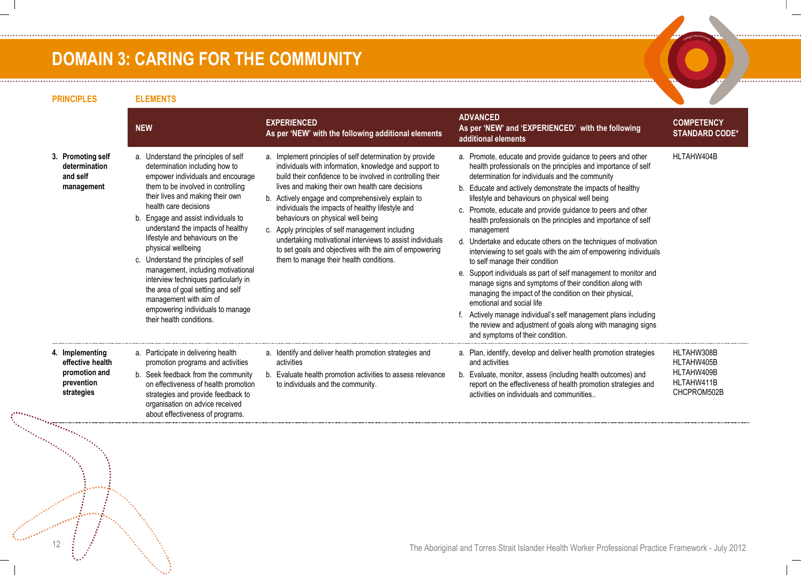### **DOMAIN 3: CARING FOR THE COMMUNITY**

|                                                                                                       | <b>NEW</b>                                                                                                                                                                                                                                                                                                                                                                                                                                                                                                                                                                                               | <b>EXPERIENCED</b><br>As per 'NEW' with the following additional elements                                                                                                                                                                                                                                                                                                                                                                                                                                                                                                                                | <b>ADVANCED</b><br>As per 'NEW' and 'EXPERIENCED' with the following<br>additional elements                                                                                                                                                                                                                                                                                                                                                                                                                                                                                                                                                                                                                                                                                                                                                                                                                                                                                                                           | <b>COMPETENCY</b><br><b>STANDARD CODE*</b>                          |
|-------------------------------------------------------------------------------------------------------|----------------------------------------------------------------------------------------------------------------------------------------------------------------------------------------------------------------------------------------------------------------------------------------------------------------------------------------------------------------------------------------------------------------------------------------------------------------------------------------------------------------------------------------------------------------------------------------------------------|----------------------------------------------------------------------------------------------------------------------------------------------------------------------------------------------------------------------------------------------------------------------------------------------------------------------------------------------------------------------------------------------------------------------------------------------------------------------------------------------------------------------------------------------------------------------------------------------------------|-----------------------------------------------------------------------------------------------------------------------------------------------------------------------------------------------------------------------------------------------------------------------------------------------------------------------------------------------------------------------------------------------------------------------------------------------------------------------------------------------------------------------------------------------------------------------------------------------------------------------------------------------------------------------------------------------------------------------------------------------------------------------------------------------------------------------------------------------------------------------------------------------------------------------------------------------------------------------------------------------------------------------|---------------------------------------------------------------------|
| 3. Promoting self<br>determination<br>and self<br>management                                          | a. Understand the principles of self<br>determination including how to<br>empower individuals and encourage<br>them to be involved in controlling<br>their lives and making their own<br>health care decisions<br>b. Engage and assist individuals to<br>understand the impacts of healthy<br>lifestyle and behaviours on the<br>physical wellbeing<br>c. Understand the principles of self<br>management, including motivational<br>interview techniques particularly in<br>the area of goal setting and self<br>management with aim of<br>empowering individuals to manage<br>their health conditions. | a. Implement principles of self determination by provide<br>individuals with information, knowledge and support to<br>build their confidence to be involved in controlling their<br>lives and making their own health care decisions<br>b. Actively engage and comprehensively explain to<br>individuals the impacts of healthy lifestyle and<br>behaviours on physical well being<br>c. Apply principles of self management including<br>undertaking motivational interviews to assist individuals<br>to set goals and objectives with the aim of empowering<br>them to manage their health conditions. | a. Promote, educate and provide guidance to peers and other<br>health professionals on the principles and importance of self<br>determination for individuals and the community<br>b. Educate and actively demonstrate the impacts of healthy<br>lifestyle and behaviours on physical well being<br>c. Promote, educate and provide guidance to peers and other<br>health professionals on the principles and importance of self<br>management<br>d. Undertake and educate others on the techniques of motivation<br>interviewing to set goals with the aim of empowering individuals<br>to self manage their condition<br>e. Support individuals as part of self management to monitor and<br>manage signs and symptoms of their condition along with<br>managing the impact of the condition on their physical,<br>emotional and social life<br>f. Actively manage individual's self management plans including<br>the review and adjustment of goals along with managing signs<br>and symptoms of their condition. | HLTAHW404B                                                          |
| 4. Implementing<br>effective health<br>promotion and<br>prevention<br>strategies<br>ranananananananan | a. Participate in delivering health<br>promotion programs and activities<br>b. Seek feedback from the community<br>on effectiveness of health promotion<br>strategies and provide feedback to<br>organisation on advice received<br>about effectiveness of programs.                                                                                                                                                                                                                                                                                                                                     | a. Identify and deliver health promotion strategies and<br>activities<br>b. Evaluate health promotion activities to assess relevance<br>to individuals and the community.                                                                                                                                                                                                                                                                                                                                                                                                                                | a. Plan, identify, develop and deliver health promotion strategies<br>and activities<br>b. Evaluate, monitor, assess (including health outcomes) and<br>report on the effectiveness of health promotion strategies and<br>activities on individuals and communities                                                                                                                                                                                                                                                                                                                                                                                                                                                                                                                                                                                                                                                                                                                                                   | HLTAHW308B<br>HLTAHW405B<br>HLTAHW409B<br>HLTAHW411B<br>CHCPROM502B |

. . . . . . . . . . . . . . . . . . . .

. . . . . . . . . . . . . . . . . . . .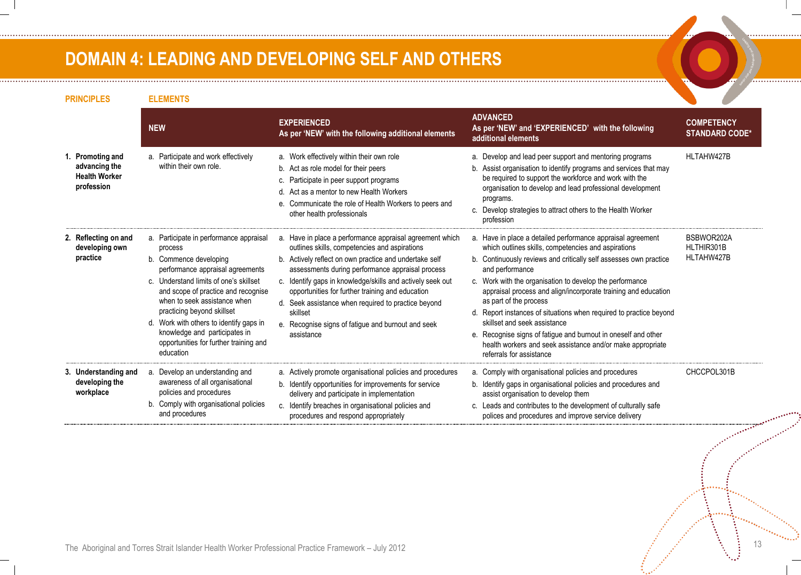### **DOMAIN 4: LEADING AND DEVELOPING SELF AND OTHERS**

| <b>PRINCIPLES</b>                                                       | <b>ELEMENTS</b>                                                                                                                                                                                                                                                                                                                                                                                    |                                                                                                                                                                                                                                                                                                                                                                                                                                                                                  |                                                                                                                                                                                                                                                                                                                                                                                                                                                                                                                                                                                                                                      |                                            |
|-------------------------------------------------------------------------|----------------------------------------------------------------------------------------------------------------------------------------------------------------------------------------------------------------------------------------------------------------------------------------------------------------------------------------------------------------------------------------------------|----------------------------------------------------------------------------------------------------------------------------------------------------------------------------------------------------------------------------------------------------------------------------------------------------------------------------------------------------------------------------------------------------------------------------------------------------------------------------------|--------------------------------------------------------------------------------------------------------------------------------------------------------------------------------------------------------------------------------------------------------------------------------------------------------------------------------------------------------------------------------------------------------------------------------------------------------------------------------------------------------------------------------------------------------------------------------------------------------------------------------------|--------------------------------------------|
|                                                                         | <b>NEW</b>                                                                                                                                                                                                                                                                                                                                                                                         | <b>EXPERIENCED</b><br>As per 'NEW' with the following additional elements                                                                                                                                                                                                                                                                                                                                                                                                        | <b>ADVANCED</b><br>As per 'NEW' and 'EXPERIENCED' with the following<br>additional elements                                                                                                                                                                                                                                                                                                                                                                                                                                                                                                                                          | <b>COMPETENCY</b><br><b>STANDARD CODE*</b> |
| 1. Promoting and<br>advancing the<br><b>Health Worker</b><br>profession | a. Participate and work effectively<br>within their own role.                                                                                                                                                                                                                                                                                                                                      | a. Work effectively within their own role<br>b. Act as role model for their peers<br>c. Participate in peer support programs<br>Act as a mentor to new Health Workers<br>d.<br>e. Communicate the role of Health Workers to peers and<br>other health professionals                                                                                                                                                                                                              | a. Develop and lead peer support and mentoring programs<br>b. Assist organisation to identify programs and services that may<br>be required to support the workforce and work with the<br>organisation to develop and lead professional development<br>programs.<br>c. Develop strategies to attract others to the Health Worker<br>profession                                                                                                                                                                                                                                                                                       | HLTAHW427B                                 |
| 2. Reflecting on and<br>developing own<br>practice                      | a. Participate in performance appraisal<br>process<br>b. Commence developing<br>performance appraisal agreements<br>c. Understand limits of one's skillset<br>and scope of practice and recognise<br>when to seek assistance when<br>practicing beyond skillset<br>d. Work with others to identify gaps in<br>knowledge and participates in<br>opportunities for further training and<br>education | a. Have in place a performance appraisal agreement which<br>outlines skills, competencies and aspirations<br>b. Actively reflect on own practice and undertake self<br>assessments during performance appraisal process<br>c. Identify gaps in knowledge/skills and actively seek out<br>opportunities for further training and education<br>d. Seek assistance when required to practice beyond<br>skillset<br>e. Recognise signs of fatigue and burnout and seek<br>assistance | a. Have in place a detailed performance appraisal agreement<br>which outlines skills, competencies and aspirations<br>b. Continuously reviews and critically self assesses own practice<br>and performance<br>c. Work with the organisation to develop the performance<br>appraisal process and align/incorporate training and education<br>as part of the process<br>d. Report instances of situations when required to practice beyond<br>skillset and seek assistance<br>e. Recognise signs of fatigue and burnout in oneself and other<br>health workers and seek assistance and/or make appropriate<br>referrals for assistance | BSBWOR202A<br>HLTHIR301B<br>HLTAHW427B     |
| 3. Understanding and<br>developing the<br>workplace                     | a. Develop an understanding and<br>awareness of all organisational<br>policies and procedures<br>b. Comply with organisational policies<br>and procedures                                                                                                                                                                                                                                          | a. Actively promote organisational policies and procedures<br>b. Identify opportunities for improvements for service<br>delivery and participate in implementation<br>c. Identify breaches in organisational policies and<br>procedures and respond appropriately                                                                                                                                                                                                                | a. Comply with organisational policies and procedures<br>b. Identify gaps in organisational policies and procedures and<br>assist organisation to develop them<br>c. Leads and contributes to the development of culturally safe<br>polices and procedures and improve service delivery                                                                                                                                                                                                                                                                                                                                              | CHCCPOL301B                                |

................................

.............

. . . . . . . . . . . . . . .

. . . . . . . . . . . . . . . .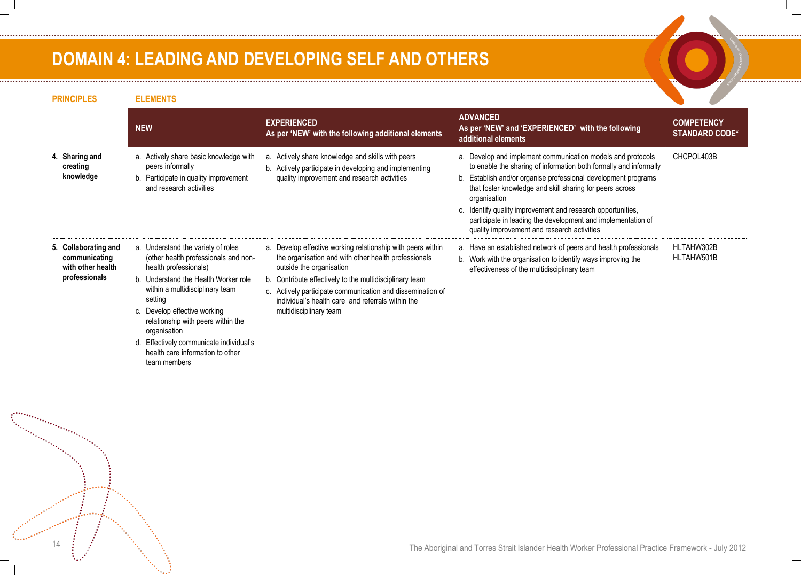### **DOMAIN 4: LEADING AND DEVELOPING SELF AND OTHERS**

ina manazarta<br>San Tanzania

**PRINCIPLES ELEMENTS NEW EXPERIENCED As per 'NEW' with the following additional elements ADVANCED As per 'NEW' and 'EXPERIENCED' with the following additional elements COMPETENCY STANDARD CODE\* 4. Sharing and creating knowledge** a. Actively share basic knowledge with peers informally b. Participate in quality improvement and research activities a. Actively share knowledge and skills with peers b. Actively participate in developing and implementing quality improvement and research activities a. Develop and implement communication models and protocols to enable the sharing of information both formally and informally b. Establish and/or organise professional development programs that foster knowledge and skill sharing for peers across organisation c. Identify quality improvement and research opportunities, participate in leading the development and implementation of quality improvement and research activities CHCPOL403B **5. Collaborating and communicating with other health professionals** a. Understand the variety of roles (other health professionals and nonhealth professionals) b. Understand the Health Worker role within a multidisciplinary team setting c. Develop effective working relationship with peers within the organisation d. Effectively communicate individual's health care information to other team members a. Develop effective working relationship with peers within the organisation and with other health professionals outside the organisation b. Contribute effectively to the multidisciplinary team c. Actively participate communication and dissemination of individual's health care and referrals within the multidisciplinary team a. Have an established network of peers and health professionals b. Work with the organisation to identify ways improving the effectiveness of the multidisciplinary team HLTAHW302B HLTAHW501B

The Aboriginal and Torres Strait Islander Health Worker Professional Practice Framework - July 2012 14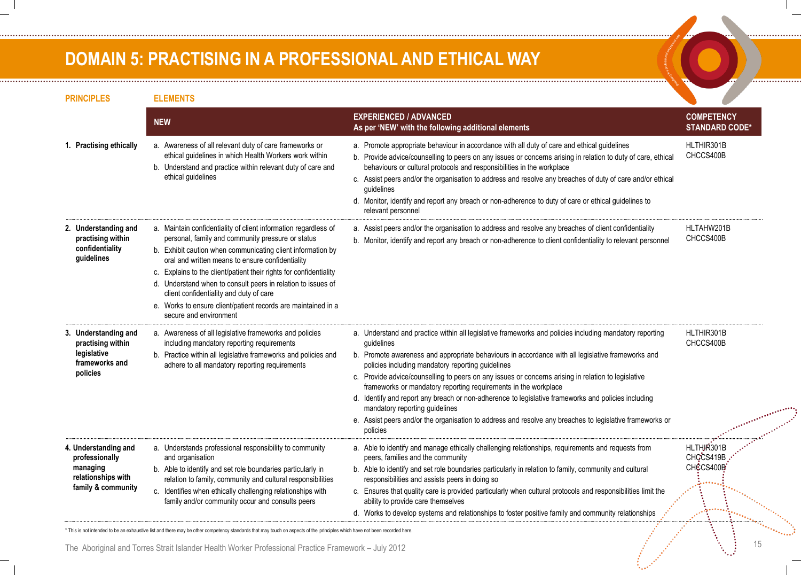### **DOMAIN 5: PRACTISING IN A PROFESSIONAL AND ETHICAL WAY**

| <b>PRINCIPLES</b>                                                                              | <b>ELEMENTS</b>                                                                                                                                                                                                                                                                                                                                                                                                                                                                                                     |                                                                                                                                                                                                                                                                                                                                                                                                                                                                                                                                                                                                                                                                                                                            |                                            |
|------------------------------------------------------------------------------------------------|---------------------------------------------------------------------------------------------------------------------------------------------------------------------------------------------------------------------------------------------------------------------------------------------------------------------------------------------------------------------------------------------------------------------------------------------------------------------------------------------------------------------|----------------------------------------------------------------------------------------------------------------------------------------------------------------------------------------------------------------------------------------------------------------------------------------------------------------------------------------------------------------------------------------------------------------------------------------------------------------------------------------------------------------------------------------------------------------------------------------------------------------------------------------------------------------------------------------------------------------------------|--------------------------------------------|
|                                                                                                | <b>NEW</b>                                                                                                                                                                                                                                                                                                                                                                                                                                                                                                          | <b>EXPERIENCED / ADVANCED</b><br>As per 'NEW' with the following additional elements                                                                                                                                                                                                                                                                                                                                                                                                                                                                                                                                                                                                                                       | <b>COMPETENCY</b><br><b>STANDARD CODE*</b> |
| 1. Practising ethically                                                                        | a. Awareness of all relevant duty of care frameworks or<br>ethical guidelines in which Health Workers work within<br>b. Understand and practice within relevant duty of care and<br>ethical guidelines                                                                                                                                                                                                                                                                                                              | a. Promote appropriate behaviour in accordance with all duty of care and ethical guidelines<br>b. Provide advice/counselling to peers on any issues or concerns arising in relation to duty of care, ethical<br>behaviours or cultural protocols and responsibilities in the workplace<br>c. Assist peers and/or the organisation to address and resolve any breaches of duty of care and/or ethical<br>quidelines<br>d. Monitor, identify and report any breach or non-adherence to duty of care or ethical guidelines to<br>relevant personnel                                                                                                                                                                           | HLTHIR301B<br>CHCCS400B                    |
| 2. Understanding and<br>practising within<br>confidentiality<br>guidelines                     | a. Maintain confidentiality of client information regardless of<br>personal, family and community pressure or status<br>b. Exhibit caution when communicating client information by<br>oral and written means to ensure confidentiality<br>c. Explains to the client/patient their rights for confidentiality<br>d. Understand when to consult peers in relation to issues of<br>client confidentiality and duty of care<br>e. Works to ensure client/patient records are maintained in a<br>secure and environment | a. Assist peers and/or the organisation to address and resolve any breaches of client confidentiality<br>b. Monitor, identify and report any breach or non-adherence to client confidentiality to relevant personnel                                                                                                                                                                                                                                                                                                                                                                                                                                                                                                       | HLTAHW201B<br>CHCCS400B                    |
| 3. Understanding and<br>practising within<br>legislative<br>frameworks and<br>policies         | a. Awareness of all legislative frameworks and policies<br>including mandatory reporting requirements<br>b. Practice within all legislative frameworks and policies and<br>adhere to all mandatory reporting requirements                                                                                                                                                                                                                                                                                           | a. Understand and practice within all legislative frameworks and policies including mandatory reporting<br>guidelines<br>b. Promote awareness and appropriate behaviours in accordance with all legislative frameworks and<br>policies including mandatory reporting guidelines<br>c. Provide advice/counselling to peers on any issues or concerns arising in relation to legislative<br>frameworks or mandatory reporting requirements in the workplace<br>d. Identify and report any breach or non-adherence to legislative frameworks and policies including<br>mandatory reporting guidelines<br>e. Assist peers and/or the organisation to address and resolve any breaches to legislative frameworks or<br>policies | HLTHIR301B<br>CHCCS400B                    |
| 4. Understanding and<br>professionally<br>managing<br>relationships with<br>family & community | a. Understands professional responsibility to community<br>and organisation<br>b. Able to identify and set role boundaries particularly in<br>relation to family, community and cultural responsibilities<br>c. Identifies when ethically challenging relationships with<br>family and/or community occur and consults peers                                                                                                                                                                                        | a. Able to identify and manage ethically challenging relationships, requirements and requests from<br>peers, families and the community<br>b. Able to identify and set role boundaries particularly in relation to family, community and cultural<br>responsibilities and assists peers in doing so<br>c. Ensures that quality care is provided particularly when cultural protocols and responsibilities limit the<br>ability to provide care themselves<br>d. Works to develop systems and relationships to foster positive family and community relationships                                                                                                                                                           | HLTHIR301B<br>CHGCS419B<br>CHCCS400B       |

\* This is not intended to be an exhaustive list and there may be other competency standards that may touch on aspects of the principles which have not been recorded here.

The Aboriginal and Torres Strait Islander Health Worker Professional Practice Framework – July 2012 15

. . . . . . . . . . . . . . . . .

. . . . . . . . . . . . . . . .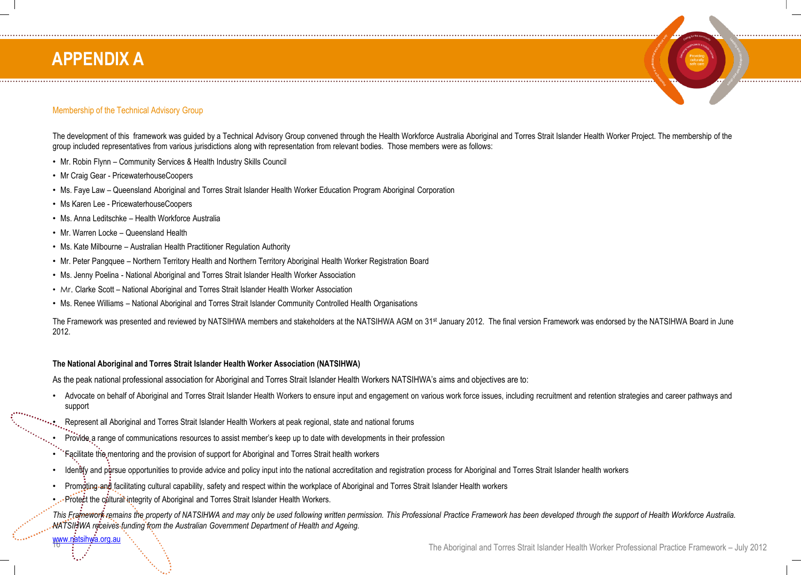### **APPENDIX A**

#### Membership of the Technical Advisory Group

The development of this framework was guided by a Technical Advisory Group convened through the Health Workforce Australia Aboriginal and Torres Strait Islander Health Worker Project. The membership of the group included representatives from various jurisdictions along with representation from relevant bodies. Those members were as follows:

- Mr. Robin Flynn Community Services & Health Industry Skills Council
- Mr Craig Gear PricewaterhouseCoopers
- Ms. Faye Law Queensland Aboriginal and Torres Strait Islander Health Worker Education Program Aboriginal Corporation
- Ms Karen Lee PricewaterhouseCoopers
- Ms. Anna Leditschke Health Workforce Australia
- Mr. Warren Locke Queensland Health
- Ms. Kate Milbourne Australian Health Practitioner Regulation Authority
- Mr. Peter Pangquee Northern Territory Health and Northern Territory Aboriginal Health Worker Registration Board
- Ms. Jenny Poelina National Aboriginal and Torres Strait Islander Health Worker Association
- Mr. Clarke Scott National Aboriginal and Torres Strait Islander Health Worker Association
- Ms. Renee Williams National Aboriginal and Torres Strait Islander Community Controlled Health Organisations

The Framework was presented and reviewed by NATSIHWA members and stakeholders at the NATSIHWA AGM on 31<sup>st</sup> January 2012. The final version Framework was endorsed by the NATSIHWA Board in June 2012.

#### **The National Aboriginal and Torres Strait Islander Health Worker Association (NATSIHWA)**

As the peak national professional association for Aboriginal and Torres Strait Islander Health Workers NATSIHWA's aims and objectives are to:

- Advocate on behalf of Aboriginal and Torres Strait Islander Health Workers to ensure input and engagement on various work force issues, including recruitment and retention strategies and career pathways and support
- ••••,...Represent all Aboriginal and Torres Strait Islander Health Workers at peak regional, state and national forums
	- Provide a range of communications resources to assist member's keep up to date with developments in their profession
	- Facilitate the mentoring and the provision of support for Aboriginal and Torres Strait health workers
	- Identify and pursue opportunities to provide advice and policy input into the national accreditation and registration process for Aboriginal and Torres Strait Islander health workers
	- Promoting and facilitating cultural capability, safety and respect within the workplace of Aboriginal and Torres Strait Islander Health workers
	- Protect the cultural integrity of Aboriginal and Torres Strait Islander Health Workers.

This Framework remains the property of NATSIHWA and may only be used following written permission. This Professional Practice Framework has been developed through the support of Health Workforce Australia. *NATSIHWA receives funding from the Australian Government Department of Health and Ageing.*

[www.natsihwa.org.au](http://www.natsihwa.org.au/)